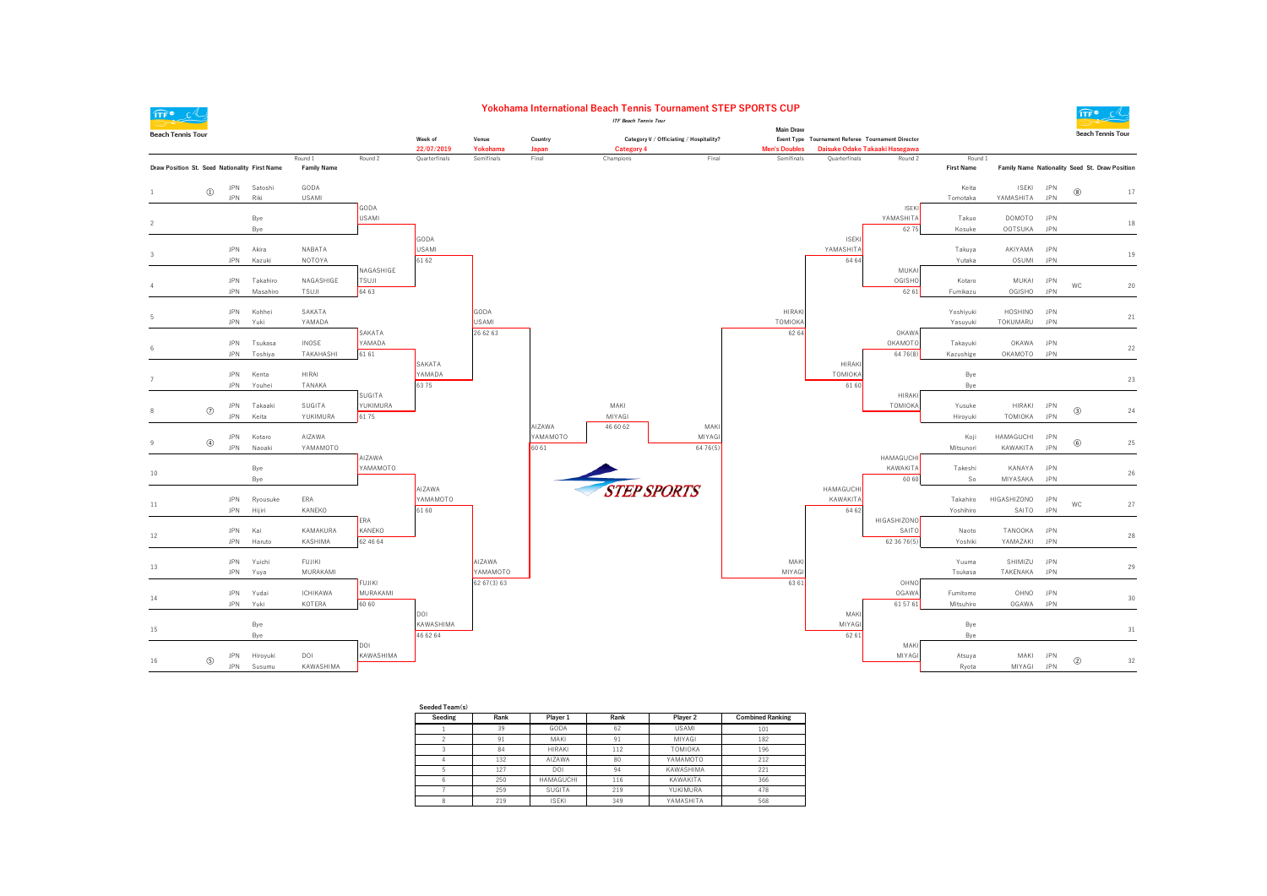

 $\overline{1}$ 

 $\sim$ 

 $\overline{z}$ 

 $\mathbf{R}$ 

 $\overline{9}$ 

 $15\,$ 

#### Yokohama International Beach Tennis Tournament STEP SPORTS CUP **ITF Reach Tennie Tour**

 $\widehat{\mathsf{ITF}}^{\bullet}$   $\mathsf{C}'$ 

 $_{21}$ 



| Seeding | Rank | Player 1         | Rank | Player 2     | <b>Combined Ranking</b> |
|---------|------|------------------|------|--------------|-------------------------|
|         | 39   | GODA             | 62   | <b>USAMI</b> | 101                     |
|         | 91   | MAKI             | 91   | MIYAGI       | 182                     |
|         | 84   | <b>HIRAKI</b>    | 112  | TOMIOKA      | 196                     |
| 4       | 132  | AIZAWA           | 80   | YAMAMOTO     | 212                     |
| 5       | 127  | DOI              | 94   | KAWASHIMA    | 221                     |
| 6       | 250  | <b>HAMAGUCHI</b> | 116  | KAWAKITA     | 366                     |
|         | 259  | SUGITA           | 219  | YUKIMURA     | 478                     |
| 8       | 219  | <b>ISEKI</b>     | 349  | YAMASHITA    | 568                     |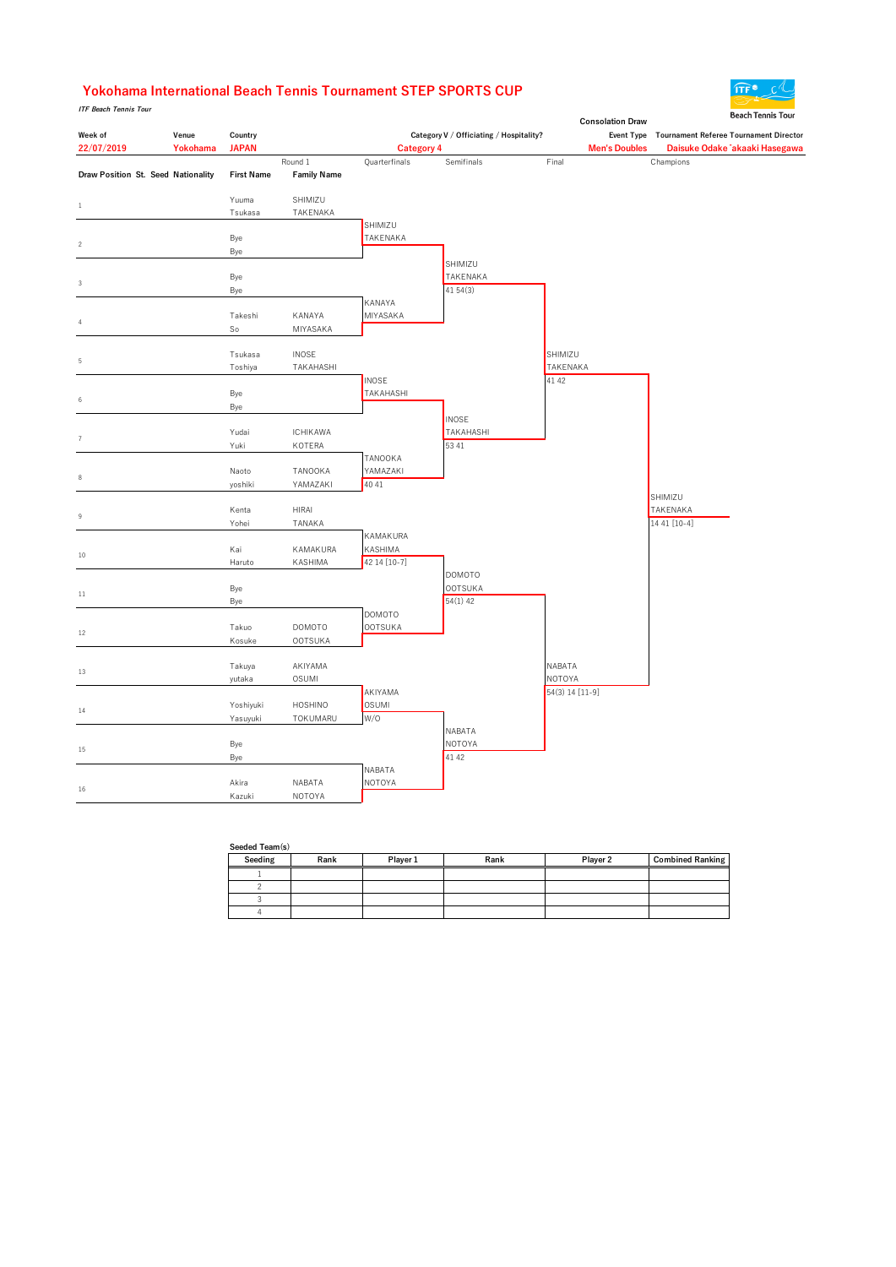### Yokohama International Beach Tennis Tournament STEP SPORTS CUP

*ITF Beach Tennis Tour* 

|                                    |          |                   |                    |                           |                                         | <b>Consolation Draw</b> | peach fennis four                                 |
|------------------------------------|----------|-------------------|--------------------|---------------------------|-----------------------------------------|-------------------------|---------------------------------------------------|
| Week of                            | Venue    | Country           |                    |                           | Category V / Officiating / Hospitality? |                         | Event Type Tournament Referee Tournament Director |
| 22/07/2019                         | Yokohama | <b>JAPAN</b>      |                    | <b>Category 4</b>         |                                         | <b>Men's Doubles</b>    | Daisuke Odake 「akaaki Hasegawa                    |
|                                    |          |                   | Round 1            | Quarterfinals             | Semifinals                              | Final                   | Champions                                         |
| Draw Position St. Seed Nationality |          | <b>First Name</b> | <b>Family Name</b> |                           |                                         |                         |                                                   |
|                                    |          | Yuuma             | SHIMIZU            |                           |                                         |                         |                                                   |
| $\mathbf{1}$                       |          | Tsukasa           | TAKENAKA           |                           |                                         |                         |                                                   |
|                                    |          |                   |                    | SHIMIZU                   |                                         |                         |                                                   |
|                                    |          | Bye               |                    | TAKENAKA                  |                                         |                         |                                                   |
| $\sqrt{2}$                         |          | Bye               |                    |                           |                                         |                         |                                                   |
|                                    |          |                   |                    |                           | SHIMIZU                                 |                         |                                                   |
| $\sqrt{3}$                         |          | Bye               |                    |                           | <b>TAKENAKA</b>                         |                         |                                                   |
|                                    |          | Bye               |                    |                           | 41 54 (3)                               |                         |                                                   |
|                                    |          |                   |                    | KANAYA                    |                                         |                         |                                                   |
| $\sqrt{4}$                         |          | Takeshi           | KANAYA             | MIYASAKA                  |                                         |                         |                                                   |
|                                    |          | So                | MIYASAKA           |                           |                                         |                         |                                                   |
|                                    |          |                   |                    |                           |                                         |                         |                                                   |
| 5                                  |          | Tsukasa           | <b>INOSE</b>       |                           |                                         | SHIMIZU                 |                                                   |
|                                    |          | Toshiya           | TAKAHASHI          |                           |                                         | <b>TAKENAKA</b>         |                                                   |
|                                    |          |                   |                    | <b>INOSE</b><br>TAKAHASHI |                                         | 41 42                   |                                                   |
| $\,6\,$                            |          | Bye<br>Bye        |                    |                           |                                         |                         |                                                   |
|                                    |          |                   |                    |                           | <b>INOSE</b>                            |                         |                                                   |
|                                    |          | Yudai             | <b>ICHIKAWA</b>    |                           | <b>TAKAHASHI</b>                        |                         |                                                   |
| $\overline{7}$                     |          | Yuki              | KOTERA             |                           | 53 41                                   |                         |                                                   |
|                                    |          |                   |                    | TANOOKA                   |                                         |                         |                                                   |
|                                    |          | Naoto             | TANOOKA            | YAMAZAKI                  |                                         |                         |                                                   |
| 8                                  |          | yoshiki           | YAMAZAKI           | 40 41                     |                                         |                         |                                                   |
|                                    |          |                   |                    |                           |                                         |                         | SHIMIZU                                           |
| 9                                  |          | Kenta             | <b>HIRAI</b>       |                           |                                         |                         | <b>TAKENAKA</b>                                   |
|                                    |          | Yohei             | TANAKA             |                           |                                         |                         | 14 41 [10-4]                                      |
|                                    |          |                   |                    | KAMAKURA                  |                                         |                         |                                                   |
| 10                                 |          | Kai               | KAMAKURA           | <b>KASHIMA</b>            |                                         |                         |                                                   |
|                                    |          | Haruto            | KASHIMA            | 42 14 [10-7]              |                                         |                         |                                                   |
|                                    |          |                   |                    |                           | <b>DOMOTO</b>                           |                         |                                                   |
| $11\,$                             |          | Bye               |                    |                           | <b>OOTSUKA</b><br>$54(1)$ 42            |                         |                                                   |
|                                    |          | Bye               |                    | DOMOTO                    |                                         |                         |                                                   |
|                                    |          | Takuo             | <b>DOMOTO</b>      | <b>OOTSUKA</b>            |                                         |                         |                                                   |
| $12\,$                             |          | Kosuke            | <b>OOTSUKA</b>     |                           |                                         |                         |                                                   |
|                                    |          |                   |                    |                           |                                         |                         |                                                   |
|                                    |          | Takuya            | AKIYAMA            |                           |                                         | NABATA                  |                                                   |
| 13                                 |          | yutaka            | <b>OSUMI</b>       |                           |                                         | <b>NOTOYA</b>           |                                                   |
|                                    |          |                   |                    | AKIYAMA                   |                                         | 54(3) 14 [11-9]         |                                                   |
| 14                                 |          | Yoshiyuki         | <b>HOSHINO</b>     | <b>OSUMI</b>              |                                         |                         |                                                   |
|                                    |          | Yasuyuki          | TOKUMARU           | W/O                       |                                         |                         |                                                   |
|                                    |          |                   |                    |                           | NABATA                                  |                         |                                                   |
| 15                                 |          | Bye               |                    |                           | NOTOYA                                  |                         |                                                   |
|                                    |          | Bye               |                    |                           | 41 42                                   |                         |                                                   |
|                                    |          |                   |                    | NABATA                    |                                         |                         |                                                   |
| $16\,$                             |          | Akira             | NABATA             | <b>NOTOYA</b>             |                                         |                         |                                                   |
|                                    |          | Kazuki            | <b>NOTOYA</b>      |                           |                                         |                         |                                                   |

| Seeded Team(s) |      |          |      |          |                         |  |  |  |  |
|----------------|------|----------|------|----------|-------------------------|--|--|--|--|
| Seeding        | Rank | Player 1 | Rank | Player 2 | <b>Combined Ranking</b> |  |  |  |  |
|                |      |          |      |          |                         |  |  |  |  |
|                |      |          |      |          |                         |  |  |  |  |
|                |      |          |      |          |                         |  |  |  |  |
|                |      |          |      |          |                         |  |  |  |  |

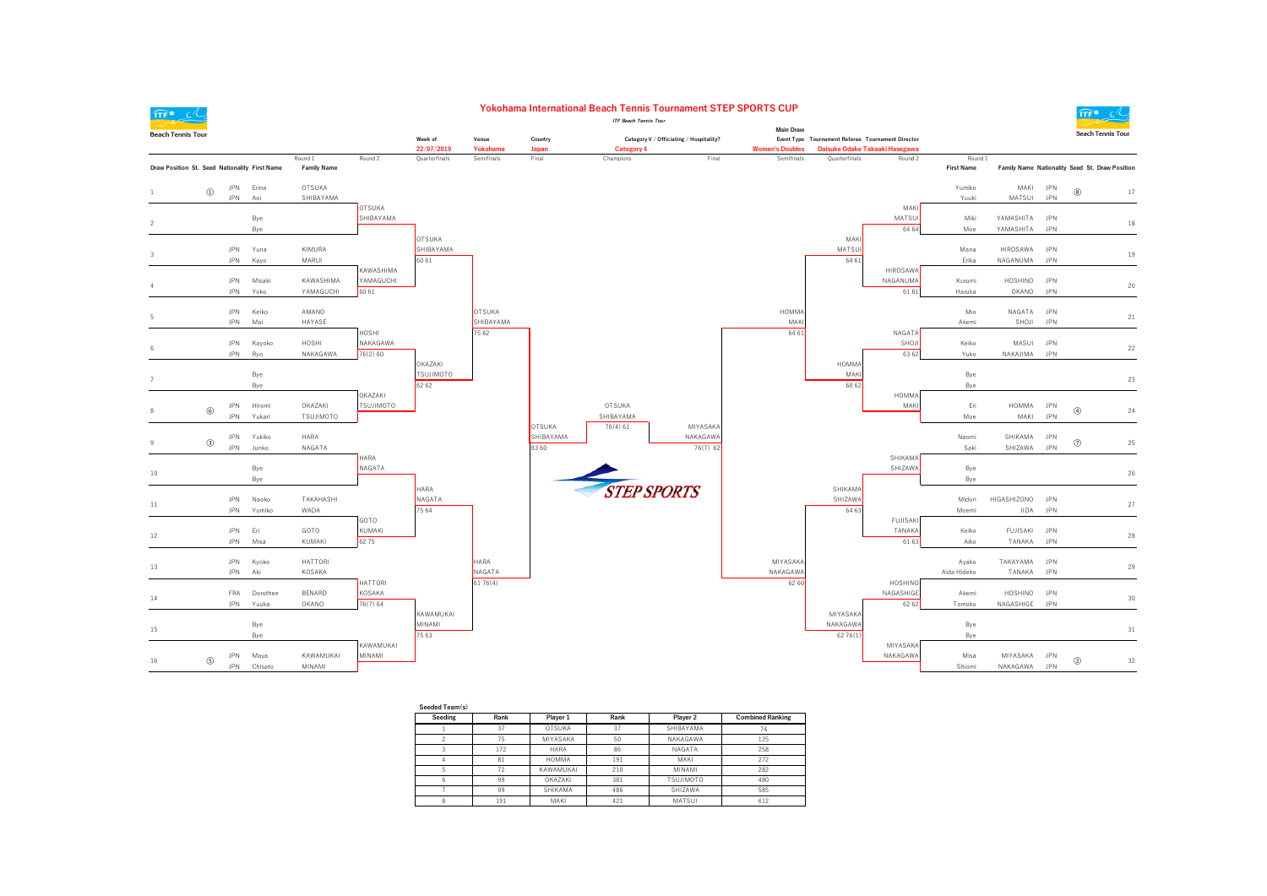

 $\overline{1}$ 

 $\sim$ 

 $\overline{z}$ 

 $\mathbb{R}$ 

 $\mathbf{R}$ 

 $15\,$ 

#### Yokohama International Beach Tennis Tournament STEP SPORTS CUP **ITF Reach Tennie Tour**

**Main Draw** 

 $\widehat{\mathsf{ITF}}^{\bullet}$   $\mathsf{C}'$ 

 $20\,$ 

 $_{21}$ 

 $^{24}$ 



| Seeded Team(s) |      |               |      |                  |                         |
|----------------|------|---------------|------|------------------|-------------------------|
| Seeding        | Rank | Player 1      | Rank | Player 2         | <b>Combined Ranking</b> |
|                | 37   | <b>OTSUKA</b> | 37   | SHIBAYAMA        | 74                      |
|                | 75   | MIYASAKA      | 50   | NAKAGAWA         | 125                     |
|                | 172  | <b>HARA</b>   | 86   | NAGATA           | 258                     |
|                | 81   | <b>HOMMA</b>  | 191  | MAKI             | 272                     |
|                | 72   | KAWAMUKAI     | 210  | MINAMI           | 282                     |
| 6              | 99   | OKAZAKI       | 381  | <b>TSUJIMOTO</b> | 480                     |
|                | 99   | SHIKAMA       | 486  | SHIZAWA          | 585                     |
| 8              | 191  | MAKI          | 421  | MATSUI           | 612                     |
|                |      |               |      |                  |                         |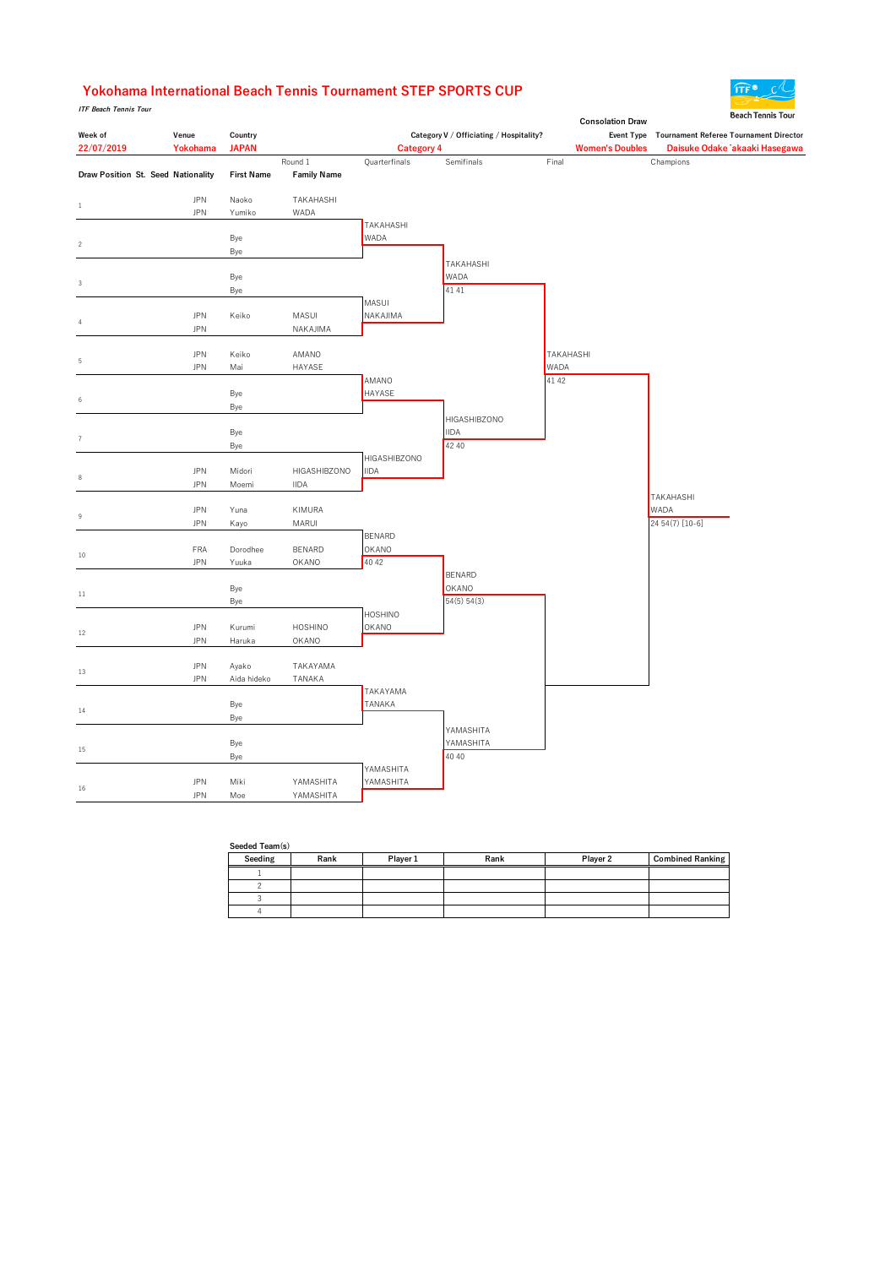### Yokohama International Beach Tennis Tournament STEP SPORTS CUP

**ITF Beach Tennis Tour** 

|                                    |            |                   |                    |                                    |                                         |       | <b>Consolation Draw</b> | beach Tennis Tour                                 |
|------------------------------------|------------|-------------------|--------------------|------------------------------------|-----------------------------------------|-------|-------------------------|---------------------------------------------------|
| Week of                            | Venue      | Country           |                    |                                    | Category V / Officiating / Hospitality? |       |                         | Event Type Tournament Referee Tournament Director |
| 22/07/2019                         | Yokohama   | <b>JAPAN</b>      |                    | <b>Category 4</b>                  |                                         |       | <b>Women's Doubles</b>  | Daisuke Odake 「akaaki Hasegawa                    |
|                                    |            |                   | Round 1            | Quarterfinals                      | Semifinals                              | Final |                         | Champions                                         |
| Draw Position St. Seed Nationality |            | <b>First Name</b> | <b>Family Name</b> |                                    |                                         |       |                         |                                                   |
|                                    |            |                   |                    |                                    |                                         |       |                         |                                                   |
| $\,1\,$                            | <b>JPN</b> | Naoko             | TAKAHASHI          |                                    |                                         |       |                         |                                                   |
|                                    | <b>JPN</b> | Yumiko            | WADA               |                                    |                                         |       |                         |                                                   |
|                                    |            |                   |                    | TAKAHASHI<br><b>WADA</b>           |                                         |       |                         |                                                   |
| $\overline{c}$                     |            | Bye<br>Bye        |                    |                                    |                                         |       |                         |                                                   |
|                                    |            |                   |                    |                                    | TAKAHASHI                               |       |                         |                                                   |
|                                    |            | Bye               |                    |                                    | WADA                                    |       |                         |                                                   |
| 3                                  |            | Bye               |                    |                                    | 41 41                                   |       |                         |                                                   |
|                                    |            |                   |                    | MASUI                              |                                         |       |                         |                                                   |
|                                    | <b>JPN</b> | Keiko             | MASUI              | NAKAJIMA                           |                                         |       |                         |                                                   |
| $\overline{4}$                     | <b>JPN</b> |                   | NAKAJIMA           |                                    |                                         |       |                         |                                                   |
|                                    |            |                   |                    |                                    |                                         |       |                         |                                                   |
| 5                                  | <b>JPN</b> | Keiko             | AMANO              |                                    |                                         |       | TAKAHASHI               |                                                   |
|                                    | <b>JPN</b> | Mai               | HAYASE             |                                    |                                         | WADA  |                         |                                                   |
|                                    |            |                   |                    | AMANO                              |                                         | 41 42 |                         |                                                   |
| $\,6\,$                            |            | Bye               |                    | <b>HAYASE</b>                      |                                         |       |                         |                                                   |
|                                    |            | Bye               |                    |                                    |                                         |       |                         |                                                   |
|                                    |            |                   |                    |                                    | HIGASHIBZONO                            |       |                         |                                                   |
| $\overline{7}$                     |            | Bye               |                    |                                    | <b>IIDA</b>                             |       |                         |                                                   |
|                                    |            | Bye               |                    |                                    | 42 40                                   |       |                         |                                                   |
|                                    | <b>JPN</b> | Midori            | HIGASHIBZONO       | <b>HIGASHIBZONO</b><br><b>IIDA</b> |                                         |       |                         |                                                   |
| $\,$ 8 $\,$                        | <b>JPN</b> | Moemi             | <b>IIDA</b>        |                                    |                                         |       |                         |                                                   |
|                                    |            |                   |                    |                                    |                                         |       |                         | TAKAHASHI                                         |
|                                    | <b>JPN</b> | Yuna              | KIMURA             |                                    |                                         |       |                         | WADA                                              |
| 9                                  | <b>JPN</b> | Kayo              | MARUI              |                                    |                                         |       |                         | 24 54 (7) [10-6]                                  |
|                                    |            |                   |                    | <b>BENARD</b>                      |                                         |       |                         |                                                   |
|                                    | <b>FRA</b> | Dorodhee          | <b>BENARD</b>      | OKANO                              |                                         |       |                         |                                                   |
| $10\,$                             | <b>JPN</b> | Yuuka             | OKANO              | 40 42                              |                                         |       |                         |                                                   |
|                                    |            |                   |                    |                                    | <b>BENARD</b>                           |       |                         |                                                   |
| $11\,$                             |            | Bye               |                    |                                    | <b>OKANO</b>                            |       |                         |                                                   |
|                                    |            | Bye               |                    |                                    | 54(5) 54(3)                             |       |                         |                                                   |
|                                    |            |                   |                    | <b>HOSHINO</b>                     |                                         |       |                         |                                                   |
| $12\,$                             | <b>JPN</b> | Kurumi            | <b>HOSHINO</b>     | OKANO                              |                                         |       |                         |                                                   |
|                                    | <b>JPN</b> | Haruka            | OKANO              |                                    |                                         |       |                         |                                                   |
|                                    | <b>JPN</b> | Ayako             | TAKAYAMA           |                                    |                                         |       |                         |                                                   |
| 13                                 | <b>JPN</b> | Aida hideko       | TANAKA             |                                    |                                         |       |                         |                                                   |
|                                    |            |                   |                    | TAKAYAMA                           |                                         |       |                         |                                                   |
|                                    |            | Bye               |                    | TANAKA                             |                                         |       |                         |                                                   |
| 14                                 |            | Bye               |                    |                                    |                                         |       |                         |                                                   |
|                                    |            |                   |                    |                                    | YAMASHITA                               |       |                         |                                                   |
|                                    |            | Bye               |                    |                                    | YAMASHITA                               |       |                         |                                                   |
| 15                                 |            | Bye               |                    |                                    | 40 40                                   |       |                         |                                                   |
|                                    |            |                   |                    | YAMASHITA                          |                                         |       |                         |                                                   |
| $16\,$                             | <b>JPN</b> | Miki              | YAMASHITA          | YAMASHITA                          |                                         |       |                         |                                                   |
|                                    | <b>JPN</b> | Moe               | YAMASHITA          |                                    |                                         |       |                         |                                                   |

| Seeded Team(s) |      |          |      |          |                         |  |  |  |  |
|----------------|------|----------|------|----------|-------------------------|--|--|--|--|
| Seeding        | Rank | Player 1 | Rank | Player 2 | <b>Combined Ranking</b> |  |  |  |  |
|                |      |          |      |          |                         |  |  |  |  |
|                |      |          |      |          |                         |  |  |  |  |
|                |      |          |      |          |                         |  |  |  |  |
|                |      |          |      |          |                         |  |  |  |  |

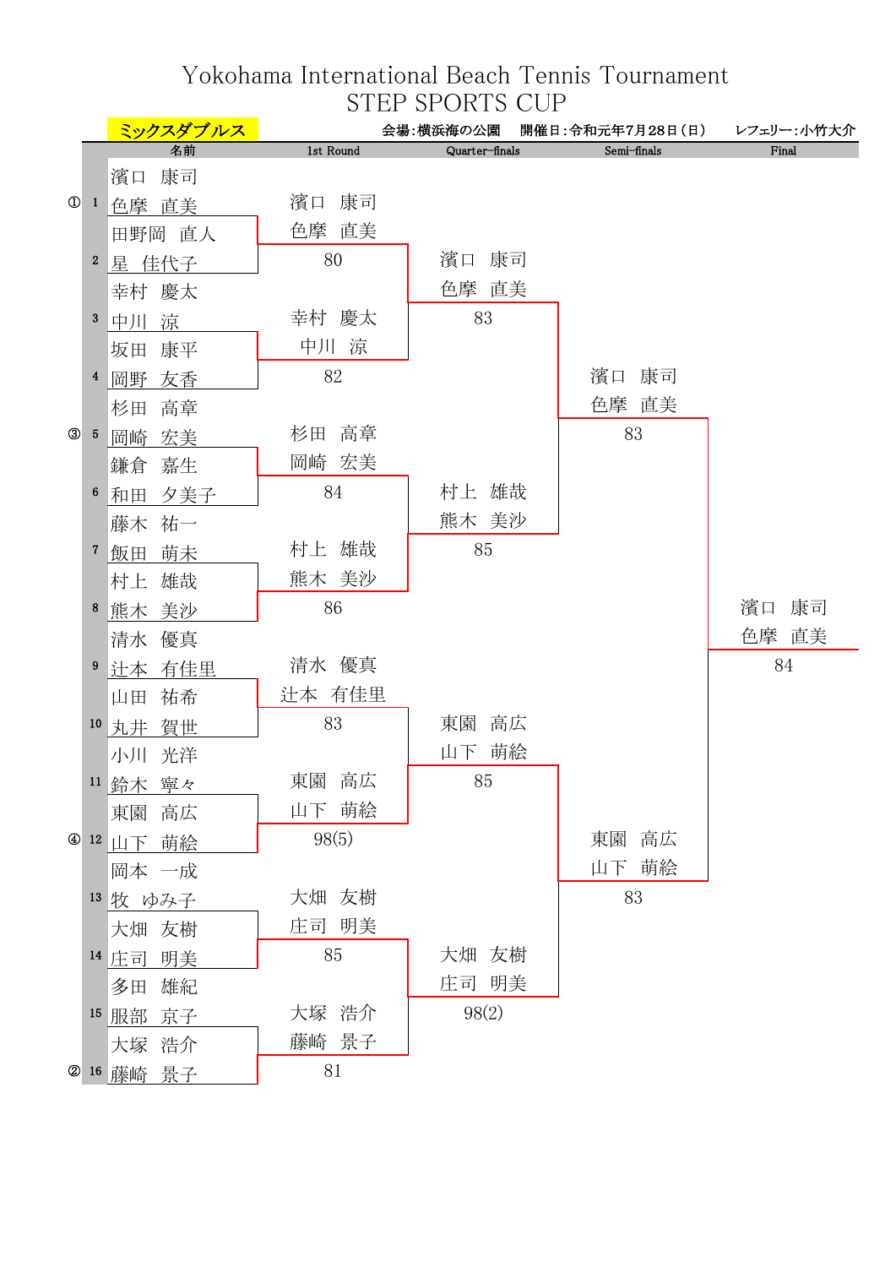# Yokohama International Beach Tennis Tournament STEP SPORTS CUP

|                |                  | ミックスダブルス     |           | 会場:横浜海の公園      | 開催日:令和元年7月28日(日) レフェリー:小竹大介 |       |
|----------------|------------------|--------------|-----------|----------------|-----------------------------|-------|
|                |                  | 名前           | 1st Round | Quarter-finals | Semi-finals                 | Final |
|                |                  | 濱口 康司        |           |                |                             |       |
| $\circledcirc$ |                  | 1 色摩 直美      | 濱口 康司     |                |                             |       |
|                |                  | 田野岡 直人       | 色摩 直美     |                |                             |       |
|                | $\boldsymbol{2}$ | 星 佳代子        | 80        | 濱口 康司          |                             |       |
|                |                  | 幸村 慶太        |           | 色摩 直美          |                             |       |
|                | 3                | 中川 涼         | 幸村 慶太     | 83             |                             |       |
|                |                  | 坂田 康平        | 中川 涼      |                |                             |       |
|                |                  | 4 岡野 友香      | 82        |                | 濱口 康司                       |       |
|                |                  | 杉田<br>高章     |           |                | 色摩 直美                       |       |
| $^{\circledR}$ |                  | $5$ 岡崎<br>宏美 | 杉田 高章     |                | 83                          |       |
|                |                  | 鎌倉 嘉生        | 岡崎 宏美     |                |                             |       |
|                | 6                | 和田 夕美子       | 84        | 村上 雄哉          |                             |       |
|                |                  | 藤木 祐一        |           | 熊木 美沙          |                             |       |
|                | 7 <sub>z</sub>   | 飯田 萌未        | 村上 雄哉     | 85             |                             |       |
|                |                  | 村上 雄哉        | 熊木 美沙     |                |                             |       |
|                | 8                | 熊木 美沙        | 86        |                |                             | 濱口 康司 |
|                |                  | 清水 優真        |           |                |                             | 色摩 直美 |
|                |                  | 9 辻本 有佳里     | 清水 優真     |                |                             | 84    |
|                |                  | 山田 祐希        | 辻本 有佳里    |                |                             |       |
|                |                  | 10 丸井 賀世     | 83        | 高広<br>東園       |                             |       |
|                |                  | 小川 光洋        |           | 山下 萌絵          |                             |       |
|                |                  | 11 鈴木 寧々     | 高広<br>東園  | 85             |                             |       |
|                |                  | 東園 高広        | 山下 萌絵     |                |                             |       |
|                |                  | 4 12 山下 萌絵   | 98(5)     |                | 東園 高広                       |       |
|                |                  | 岡本 一成        |           |                | 山下 萌絵                       |       |
|                |                  | 13 牧 ゆみ子     | 大畑 友樹     |                | 83                          |       |
|                |                  | 大畑 友樹        | 庄司 明美     |                |                             |       |
|                |                  | 14 庄司 明美     | 85        | 大畑 友樹          |                             |       |
|                |                  | 多田 雄紀        |           | 庄司 明美          |                             |       |
|                |                  | 15 服部 京子     | 大塚 浩介     | 98(2)          |                             |       |
|                |                  | 大塚 浩介        | 藤崎 景子     |                |                             |       |
|                |                  | 2 16 藤崎 景子   | 81        |                |                             |       |